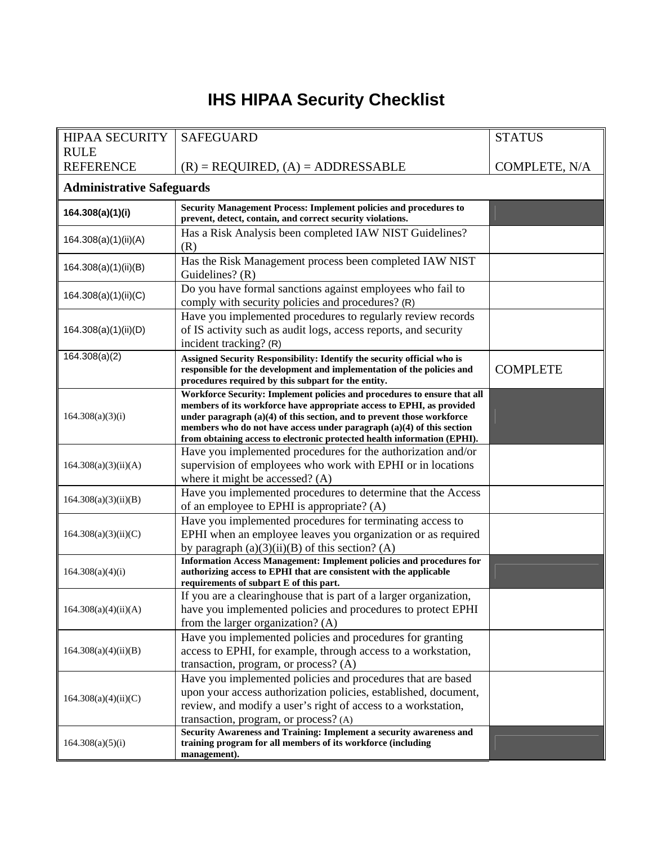## **IHS HIPAA Security Checklist**

| <b>HIPAA SECURITY</b>            | <b>SAFEGUARD</b>                                                                                                                                                                                                                                                                                                                                                                   | <b>STATUS</b>   |  |  |
|----------------------------------|------------------------------------------------------------------------------------------------------------------------------------------------------------------------------------------------------------------------------------------------------------------------------------------------------------------------------------------------------------------------------------|-----------------|--|--|
| <b>RULE</b>                      |                                                                                                                                                                                                                                                                                                                                                                                    |                 |  |  |
| <b>REFERENCE</b>                 | $(R)$ = REQUIRED, $(A)$ = ADDRESSABLE                                                                                                                                                                                                                                                                                                                                              | COMPLETE, N/A   |  |  |
| <b>Administrative Safeguards</b> |                                                                                                                                                                                                                                                                                                                                                                                    |                 |  |  |
| 164.308(a)(1)(i)                 | <b>Security Management Process: Implement policies and procedures to</b><br>prevent, detect, contain, and correct security violations.                                                                                                                                                                                                                                             |                 |  |  |
| 164.308(a)(1)(ii)(A)             | Has a Risk Analysis been completed IAW NIST Guidelines?<br>(R)                                                                                                                                                                                                                                                                                                                     |                 |  |  |
| 164.308(a)(1)(ii)(B)             | Has the Risk Management process been completed IAW NIST<br>Guidelines? (R)                                                                                                                                                                                                                                                                                                         |                 |  |  |
| 164.308(a)(1)(ii)(C)             | Do you have formal sanctions against employees who fail to<br>comply with security policies and procedures? (R)                                                                                                                                                                                                                                                                    |                 |  |  |
| 164.308(a)(1)(ii)(D)             | Have you implemented procedures to regularly review records<br>of IS activity such as audit logs, access reports, and security<br>incident tracking? (R)                                                                                                                                                                                                                           |                 |  |  |
| 164.308(a)(2)                    | Assigned Security Responsibility: Identify the security official who is<br>responsible for the development and implementation of the policies and<br>procedures required by this subpart for the entity.                                                                                                                                                                           | <b>COMPLETE</b> |  |  |
| 164.308(a)(3)(i)                 | Workforce Security: Implement policies and procedures to ensure that all<br>members of its workforce have appropriate access to EPHI, as provided<br>under paragraph (a)(4) of this section, and to prevent those workforce<br>members who do not have access under paragraph $(a)(4)$ of this section<br>from obtaining access to electronic protected health information (EPHI). |                 |  |  |
| 164.308(a)(3)(ii)(A)             | Have you implemented procedures for the authorization and/or<br>supervision of employees who work with EPHI or in locations<br>where it might be accessed? (A)                                                                                                                                                                                                                     |                 |  |  |
| 164.308(a)(3)(ii)(B)             | Have you implemented procedures to determine that the Access<br>of an employee to EPHI is appropriate? (A)                                                                                                                                                                                                                                                                         |                 |  |  |
| 164.308(a)(3)(ii)(C)             | Have you implemented procedures for terminating access to<br>EPHI when an employee leaves you organization or as required<br>by paragraph $(a)(3)(ii)(B)$ of this section? (A)                                                                                                                                                                                                     |                 |  |  |
| 164.308(a)(4)(i)                 | <b>Information Access Management: Implement policies and procedures for</b><br>authorizing access to EPHI that are consistent with the applicable<br>requirements of subpart E of this part.                                                                                                                                                                                       |                 |  |  |
| 164.308(a)(4)(ii)(A)             | If you are a clearinghouse that is part of a larger organization,<br>have you implemented policies and procedures to protect EPHI<br>from the larger organization? (A)                                                                                                                                                                                                             |                 |  |  |
| 164.308(a)(4)(ii)(B)             | Have you implemented policies and procedures for granting<br>access to EPHI, for example, through access to a workstation,<br>transaction, program, or process? (A)                                                                                                                                                                                                                |                 |  |  |
| 164.308(a)(4)(ii)(C)             | Have you implemented policies and procedures that are based<br>upon your access authorization policies, established, document,<br>review, and modify a user's right of access to a workstation,<br>transaction, program, or process? (A)                                                                                                                                           |                 |  |  |
| 164.308(a)(5)(i)                 | Security Awareness and Training: Implement a security awareness and<br>training program for all members of its workforce (including<br>management).                                                                                                                                                                                                                                |                 |  |  |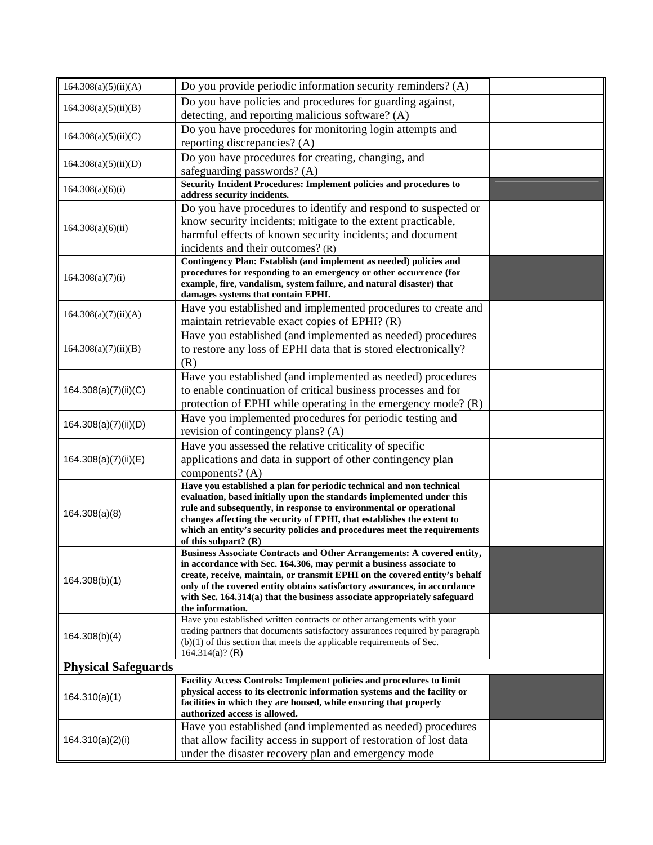| Do you have policies and procedures for guarding against,<br>164.308(a)(5)(ii)(B)<br>detecting, and reporting malicious software? (A)<br>Do you have procedures for monitoring login attempts and<br>164.308(a)(5)(ii)(C)<br>reporting discrepancies? (A)<br>Do you have procedures for creating, changing, and<br>164.308(a)(5)(ii)(D)<br>safeguarding passwords? (A)<br>Security Incident Procedures: Implement policies and procedures to<br>164.308(a)(6)(i)<br>address security incidents.<br>Do you have procedures to identify and respond to suspected or<br>know security incidents; mitigate to the extent practicable,<br>164.308(a)(6)(ii)<br>harmful effects of known security incidents; and document<br>incidents and their outcomes? (R)<br>Contingency Plan: Establish (and implement as needed) policies and<br>procedures for responding to an emergency or other occurrence (for<br>164.308(a)(7)(i)<br>example, fire, vandalism, system failure, and natural disaster) that<br>damages systems that contain EPHI.<br>Have you established and implemented procedures to create and<br>164.308(a)(7)(ii)(A)<br>maintain retrievable exact copies of EPHI? (R)<br>Have you established (and implemented as needed) procedures<br>to restore any loss of EPHI data that is stored electronically?<br>164.308(a)(7)(ii)(B)<br>(R)<br>Have you established (and implemented as needed) procedures<br>to enable continuation of critical business processes and for<br>164.308(a)(7)(ii)(C)<br>protection of EPHI while operating in the emergency mode? (R)<br>Have you implemented procedures for periodic testing and<br>164.308(a)(7)(ii)(D)<br>revision of contingency plans? (A)<br>Have you assessed the relative criticality of specific<br>applications and data in support of other contingency plan<br>164.308(a)(7)(ii)(E)<br>components? $(A)$<br>Have you established a plan for periodic technical and non technical<br>evaluation, based initially upon the standards implemented under this<br>rule and subsequently, in response to environmental or operational<br>164.308(a)(8)<br>changes affecting the security of EPHI, that establishes the extent to<br>which an entity's security policies and procedures meet the requirements<br>of this subpart? $(R)$<br><b>Business Associate Contracts and Other Arrangements: A covered entity,</b><br>in accordance with Sec. 164.306, may permit a business associate to<br>create, receive, maintain, or transmit EPHI on the covered entity's behalf<br>164.308(b)(1)<br>only of the covered entity obtains satisfactory assurances, in accordance<br>with Sec. 164.314(a) that the business associate appropriately safeguard<br>the information.<br>Have you established written contracts or other arrangements with your<br>trading partners that documents satisfactory assurances required by paragraph<br>164.308(b)(4)<br>$(b)(1)$ of this section that meets the applicable requirements of Sec.<br>164.314(a)? (R)<br><b>Physical Safeguards</b><br>Facility Access Controls: Implement policies and procedures to limit<br>physical access to its electronic information systems and the facility or<br>164.310(a)(1)<br>facilities in which they are housed, while ensuring that properly<br>authorized access is allowed.<br>Have you established (and implemented as needed) procedures<br>164.310(a)(2)(i)<br>that allow facility access in support of restoration of lost data<br>under the disaster recovery plan and emergency mode | 164.308(a)(5)(ii)(A) | Do you provide periodic information security reminders? (A) |  |
|-------------------------------------------------------------------------------------------------------------------------------------------------------------------------------------------------------------------------------------------------------------------------------------------------------------------------------------------------------------------------------------------------------------------------------------------------------------------------------------------------------------------------------------------------------------------------------------------------------------------------------------------------------------------------------------------------------------------------------------------------------------------------------------------------------------------------------------------------------------------------------------------------------------------------------------------------------------------------------------------------------------------------------------------------------------------------------------------------------------------------------------------------------------------------------------------------------------------------------------------------------------------------------------------------------------------------------------------------------------------------------------------------------------------------------------------------------------------------------------------------------------------------------------------------------------------------------------------------------------------------------------------------------------------------------------------------------------------------------------------------------------------------------------------------------------------------------------------------------------------------------------------------------------------------------------------------------------------------------------------------------------------------------------------------------------------------------------------------------------------------------------------------------------------------------------------------------------------------------------------------------------------------------------------------------------------------------------------------------------------------------------------------------------------------------------------------------------------------------------------------------------------------------------------------------------------------------------------------------------------------------------------------------------------------------------------------------------------------------------------------------------------------------------------------------------------------------------------------------------------------------------------------------------------------------------------------------------------------------------------------------------------------------------------------------------------------------------------------------------------------------------------------------------------------------------------------------------------------------------------------------------------------------------------------------------------------------------------------------------------------------------------------------------------------------------------------------------------------------------------------------------------------------------------|----------------------|-------------------------------------------------------------|--|
|                                                                                                                                                                                                                                                                                                                                                                                                                                                                                                                                                                                                                                                                                                                                                                                                                                                                                                                                                                                                                                                                                                                                                                                                                                                                                                                                                                                                                                                                                                                                                                                                                                                                                                                                                                                                                                                                                                                                                                                                                                                                                                                                                                                                                                                                                                                                                                                                                                                                                                                                                                                                                                                                                                                                                                                                                                                                                                                                                                                                                                                                                                                                                                                                                                                                                                                                                                                                                                                                                                                                           |                      |                                                             |  |
|                                                                                                                                                                                                                                                                                                                                                                                                                                                                                                                                                                                                                                                                                                                                                                                                                                                                                                                                                                                                                                                                                                                                                                                                                                                                                                                                                                                                                                                                                                                                                                                                                                                                                                                                                                                                                                                                                                                                                                                                                                                                                                                                                                                                                                                                                                                                                                                                                                                                                                                                                                                                                                                                                                                                                                                                                                                                                                                                                                                                                                                                                                                                                                                                                                                                                                                                                                                                                                                                                                                                           |                      |                                                             |  |
|                                                                                                                                                                                                                                                                                                                                                                                                                                                                                                                                                                                                                                                                                                                                                                                                                                                                                                                                                                                                                                                                                                                                                                                                                                                                                                                                                                                                                                                                                                                                                                                                                                                                                                                                                                                                                                                                                                                                                                                                                                                                                                                                                                                                                                                                                                                                                                                                                                                                                                                                                                                                                                                                                                                                                                                                                                                                                                                                                                                                                                                                                                                                                                                                                                                                                                                                                                                                                                                                                                                                           |                      |                                                             |  |
|                                                                                                                                                                                                                                                                                                                                                                                                                                                                                                                                                                                                                                                                                                                                                                                                                                                                                                                                                                                                                                                                                                                                                                                                                                                                                                                                                                                                                                                                                                                                                                                                                                                                                                                                                                                                                                                                                                                                                                                                                                                                                                                                                                                                                                                                                                                                                                                                                                                                                                                                                                                                                                                                                                                                                                                                                                                                                                                                                                                                                                                                                                                                                                                                                                                                                                                                                                                                                                                                                                                                           |                      |                                                             |  |
|                                                                                                                                                                                                                                                                                                                                                                                                                                                                                                                                                                                                                                                                                                                                                                                                                                                                                                                                                                                                                                                                                                                                                                                                                                                                                                                                                                                                                                                                                                                                                                                                                                                                                                                                                                                                                                                                                                                                                                                                                                                                                                                                                                                                                                                                                                                                                                                                                                                                                                                                                                                                                                                                                                                                                                                                                                                                                                                                                                                                                                                                                                                                                                                                                                                                                                                                                                                                                                                                                                                                           |                      |                                                             |  |
|                                                                                                                                                                                                                                                                                                                                                                                                                                                                                                                                                                                                                                                                                                                                                                                                                                                                                                                                                                                                                                                                                                                                                                                                                                                                                                                                                                                                                                                                                                                                                                                                                                                                                                                                                                                                                                                                                                                                                                                                                                                                                                                                                                                                                                                                                                                                                                                                                                                                                                                                                                                                                                                                                                                                                                                                                                                                                                                                                                                                                                                                                                                                                                                                                                                                                                                                                                                                                                                                                                                                           |                      |                                                             |  |
|                                                                                                                                                                                                                                                                                                                                                                                                                                                                                                                                                                                                                                                                                                                                                                                                                                                                                                                                                                                                                                                                                                                                                                                                                                                                                                                                                                                                                                                                                                                                                                                                                                                                                                                                                                                                                                                                                                                                                                                                                                                                                                                                                                                                                                                                                                                                                                                                                                                                                                                                                                                                                                                                                                                                                                                                                                                                                                                                                                                                                                                                                                                                                                                                                                                                                                                                                                                                                                                                                                                                           |                      |                                                             |  |
|                                                                                                                                                                                                                                                                                                                                                                                                                                                                                                                                                                                                                                                                                                                                                                                                                                                                                                                                                                                                                                                                                                                                                                                                                                                                                                                                                                                                                                                                                                                                                                                                                                                                                                                                                                                                                                                                                                                                                                                                                                                                                                                                                                                                                                                                                                                                                                                                                                                                                                                                                                                                                                                                                                                                                                                                                                                                                                                                                                                                                                                                                                                                                                                                                                                                                                                                                                                                                                                                                                                                           |                      |                                                             |  |
|                                                                                                                                                                                                                                                                                                                                                                                                                                                                                                                                                                                                                                                                                                                                                                                                                                                                                                                                                                                                                                                                                                                                                                                                                                                                                                                                                                                                                                                                                                                                                                                                                                                                                                                                                                                                                                                                                                                                                                                                                                                                                                                                                                                                                                                                                                                                                                                                                                                                                                                                                                                                                                                                                                                                                                                                                                                                                                                                                                                                                                                                                                                                                                                                                                                                                                                                                                                                                                                                                                                                           |                      |                                                             |  |
|                                                                                                                                                                                                                                                                                                                                                                                                                                                                                                                                                                                                                                                                                                                                                                                                                                                                                                                                                                                                                                                                                                                                                                                                                                                                                                                                                                                                                                                                                                                                                                                                                                                                                                                                                                                                                                                                                                                                                                                                                                                                                                                                                                                                                                                                                                                                                                                                                                                                                                                                                                                                                                                                                                                                                                                                                                                                                                                                                                                                                                                                                                                                                                                                                                                                                                                                                                                                                                                                                                                                           |                      |                                                             |  |
|                                                                                                                                                                                                                                                                                                                                                                                                                                                                                                                                                                                                                                                                                                                                                                                                                                                                                                                                                                                                                                                                                                                                                                                                                                                                                                                                                                                                                                                                                                                                                                                                                                                                                                                                                                                                                                                                                                                                                                                                                                                                                                                                                                                                                                                                                                                                                                                                                                                                                                                                                                                                                                                                                                                                                                                                                                                                                                                                                                                                                                                                                                                                                                                                                                                                                                                                                                                                                                                                                                                                           |                      |                                                             |  |
|                                                                                                                                                                                                                                                                                                                                                                                                                                                                                                                                                                                                                                                                                                                                                                                                                                                                                                                                                                                                                                                                                                                                                                                                                                                                                                                                                                                                                                                                                                                                                                                                                                                                                                                                                                                                                                                                                                                                                                                                                                                                                                                                                                                                                                                                                                                                                                                                                                                                                                                                                                                                                                                                                                                                                                                                                                                                                                                                                                                                                                                                                                                                                                                                                                                                                                                                                                                                                                                                                                                                           |                      |                                                             |  |
|                                                                                                                                                                                                                                                                                                                                                                                                                                                                                                                                                                                                                                                                                                                                                                                                                                                                                                                                                                                                                                                                                                                                                                                                                                                                                                                                                                                                                                                                                                                                                                                                                                                                                                                                                                                                                                                                                                                                                                                                                                                                                                                                                                                                                                                                                                                                                                                                                                                                                                                                                                                                                                                                                                                                                                                                                                                                                                                                                                                                                                                                                                                                                                                                                                                                                                                                                                                                                                                                                                                                           |                      |                                                             |  |
|                                                                                                                                                                                                                                                                                                                                                                                                                                                                                                                                                                                                                                                                                                                                                                                                                                                                                                                                                                                                                                                                                                                                                                                                                                                                                                                                                                                                                                                                                                                                                                                                                                                                                                                                                                                                                                                                                                                                                                                                                                                                                                                                                                                                                                                                                                                                                                                                                                                                                                                                                                                                                                                                                                                                                                                                                                                                                                                                                                                                                                                                                                                                                                                                                                                                                                                                                                                                                                                                                                                                           |                      |                                                             |  |
|                                                                                                                                                                                                                                                                                                                                                                                                                                                                                                                                                                                                                                                                                                                                                                                                                                                                                                                                                                                                                                                                                                                                                                                                                                                                                                                                                                                                                                                                                                                                                                                                                                                                                                                                                                                                                                                                                                                                                                                                                                                                                                                                                                                                                                                                                                                                                                                                                                                                                                                                                                                                                                                                                                                                                                                                                                                                                                                                                                                                                                                                                                                                                                                                                                                                                                                                                                                                                                                                                                                                           |                      |                                                             |  |
|                                                                                                                                                                                                                                                                                                                                                                                                                                                                                                                                                                                                                                                                                                                                                                                                                                                                                                                                                                                                                                                                                                                                                                                                                                                                                                                                                                                                                                                                                                                                                                                                                                                                                                                                                                                                                                                                                                                                                                                                                                                                                                                                                                                                                                                                                                                                                                                                                                                                                                                                                                                                                                                                                                                                                                                                                                                                                                                                                                                                                                                                                                                                                                                                                                                                                                                                                                                                                                                                                                                                           |                      |                                                             |  |
|                                                                                                                                                                                                                                                                                                                                                                                                                                                                                                                                                                                                                                                                                                                                                                                                                                                                                                                                                                                                                                                                                                                                                                                                                                                                                                                                                                                                                                                                                                                                                                                                                                                                                                                                                                                                                                                                                                                                                                                                                                                                                                                                                                                                                                                                                                                                                                                                                                                                                                                                                                                                                                                                                                                                                                                                                                                                                                                                                                                                                                                                                                                                                                                                                                                                                                                                                                                                                                                                                                                                           |                      |                                                             |  |
|                                                                                                                                                                                                                                                                                                                                                                                                                                                                                                                                                                                                                                                                                                                                                                                                                                                                                                                                                                                                                                                                                                                                                                                                                                                                                                                                                                                                                                                                                                                                                                                                                                                                                                                                                                                                                                                                                                                                                                                                                                                                                                                                                                                                                                                                                                                                                                                                                                                                                                                                                                                                                                                                                                                                                                                                                                                                                                                                                                                                                                                                                                                                                                                                                                                                                                                                                                                                                                                                                                                                           |                      |                                                             |  |
|                                                                                                                                                                                                                                                                                                                                                                                                                                                                                                                                                                                                                                                                                                                                                                                                                                                                                                                                                                                                                                                                                                                                                                                                                                                                                                                                                                                                                                                                                                                                                                                                                                                                                                                                                                                                                                                                                                                                                                                                                                                                                                                                                                                                                                                                                                                                                                                                                                                                                                                                                                                                                                                                                                                                                                                                                                                                                                                                                                                                                                                                                                                                                                                                                                                                                                                                                                                                                                                                                                                                           |                      |                                                             |  |
|                                                                                                                                                                                                                                                                                                                                                                                                                                                                                                                                                                                                                                                                                                                                                                                                                                                                                                                                                                                                                                                                                                                                                                                                                                                                                                                                                                                                                                                                                                                                                                                                                                                                                                                                                                                                                                                                                                                                                                                                                                                                                                                                                                                                                                                                                                                                                                                                                                                                                                                                                                                                                                                                                                                                                                                                                                                                                                                                                                                                                                                                                                                                                                                                                                                                                                                                                                                                                                                                                                                                           |                      |                                                             |  |
|                                                                                                                                                                                                                                                                                                                                                                                                                                                                                                                                                                                                                                                                                                                                                                                                                                                                                                                                                                                                                                                                                                                                                                                                                                                                                                                                                                                                                                                                                                                                                                                                                                                                                                                                                                                                                                                                                                                                                                                                                                                                                                                                                                                                                                                                                                                                                                                                                                                                                                                                                                                                                                                                                                                                                                                                                                                                                                                                                                                                                                                                                                                                                                                                                                                                                                                                                                                                                                                                                                                                           |                      |                                                             |  |
|                                                                                                                                                                                                                                                                                                                                                                                                                                                                                                                                                                                                                                                                                                                                                                                                                                                                                                                                                                                                                                                                                                                                                                                                                                                                                                                                                                                                                                                                                                                                                                                                                                                                                                                                                                                                                                                                                                                                                                                                                                                                                                                                                                                                                                                                                                                                                                                                                                                                                                                                                                                                                                                                                                                                                                                                                                                                                                                                                                                                                                                                                                                                                                                                                                                                                                                                                                                                                                                                                                                                           |                      |                                                             |  |
|                                                                                                                                                                                                                                                                                                                                                                                                                                                                                                                                                                                                                                                                                                                                                                                                                                                                                                                                                                                                                                                                                                                                                                                                                                                                                                                                                                                                                                                                                                                                                                                                                                                                                                                                                                                                                                                                                                                                                                                                                                                                                                                                                                                                                                                                                                                                                                                                                                                                                                                                                                                                                                                                                                                                                                                                                                                                                                                                                                                                                                                                                                                                                                                                                                                                                                                                                                                                                                                                                                                                           |                      |                                                             |  |
|                                                                                                                                                                                                                                                                                                                                                                                                                                                                                                                                                                                                                                                                                                                                                                                                                                                                                                                                                                                                                                                                                                                                                                                                                                                                                                                                                                                                                                                                                                                                                                                                                                                                                                                                                                                                                                                                                                                                                                                                                                                                                                                                                                                                                                                                                                                                                                                                                                                                                                                                                                                                                                                                                                                                                                                                                                                                                                                                                                                                                                                                                                                                                                                                                                                                                                                                                                                                                                                                                                                                           |                      |                                                             |  |
|                                                                                                                                                                                                                                                                                                                                                                                                                                                                                                                                                                                                                                                                                                                                                                                                                                                                                                                                                                                                                                                                                                                                                                                                                                                                                                                                                                                                                                                                                                                                                                                                                                                                                                                                                                                                                                                                                                                                                                                                                                                                                                                                                                                                                                                                                                                                                                                                                                                                                                                                                                                                                                                                                                                                                                                                                                                                                                                                                                                                                                                                                                                                                                                                                                                                                                                                                                                                                                                                                                                                           |                      |                                                             |  |
|                                                                                                                                                                                                                                                                                                                                                                                                                                                                                                                                                                                                                                                                                                                                                                                                                                                                                                                                                                                                                                                                                                                                                                                                                                                                                                                                                                                                                                                                                                                                                                                                                                                                                                                                                                                                                                                                                                                                                                                                                                                                                                                                                                                                                                                                                                                                                                                                                                                                                                                                                                                                                                                                                                                                                                                                                                                                                                                                                                                                                                                                                                                                                                                                                                                                                                                                                                                                                                                                                                                                           |                      |                                                             |  |
|                                                                                                                                                                                                                                                                                                                                                                                                                                                                                                                                                                                                                                                                                                                                                                                                                                                                                                                                                                                                                                                                                                                                                                                                                                                                                                                                                                                                                                                                                                                                                                                                                                                                                                                                                                                                                                                                                                                                                                                                                                                                                                                                                                                                                                                                                                                                                                                                                                                                                                                                                                                                                                                                                                                                                                                                                                                                                                                                                                                                                                                                                                                                                                                                                                                                                                                                                                                                                                                                                                                                           |                      |                                                             |  |
|                                                                                                                                                                                                                                                                                                                                                                                                                                                                                                                                                                                                                                                                                                                                                                                                                                                                                                                                                                                                                                                                                                                                                                                                                                                                                                                                                                                                                                                                                                                                                                                                                                                                                                                                                                                                                                                                                                                                                                                                                                                                                                                                                                                                                                                                                                                                                                                                                                                                                                                                                                                                                                                                                                                                                                                                                                                                                                                                                                                                                                                                                                                                                                                                                                                                                                                                                                                                                                                                                                                                           |                      |                                                             |  |
|                                                                                                                                                                                                                                                                                                                                                                                                                                                                                                                                                                                                                                                                                                                                                                                                                                                                                                                                                                                                                                                                                                                                                                                                                                                                                                                                                                                                                                                                                                                                                                                                                                                                                                                                                                                                                                                                                                                                                                                                                                                                                                                                                                                                                                                                                                                                                                                                                                                                                                                                                                                                                                                                                                                                                                                                                                                                                                                                                                                                                                                                                                                                                                                                                                                                                                                                                                                                                                                                                                                                           |                      |                                                             |  |
|                                                                                                                                                                                                                                                                                                                                                                                                                                                                                                                                                                                                                                                                                                                                                                                                                                                                                                                                                                                                                                                                                                                                                                                                                                                                                                                                                                                                                                                                                                                                                                                                                                                                                                                                                                                                                                                                                                                                                                                                                                                                                                                                                                                                                                                                                                                                                                                                                                                                                                                                                                                                                                                                                                                                                                                                                                                                                                                                                                                                                                                                                                                                                                                                                                                                                                                                                                                                                                                                                                                                           |                      |                                                             |  |
|                                                                                                                                                                                                                                                                                                                                                                                                                                                                                                                                                                                                                                                                                                                                                                                                                                                                                                                                                                                                                                                                                                                                                                                                                                                                                                                                                                                                                                                                                                                                                                                                                                                                                                                                                                                                                                                                                                                                                                                                                                                                                                                                                                                                                                                                                                                                                                                                                                                                                                                                                                                                                                                                                                                                                                                                                                                                                                                                                                                                                                                                                                                                                                                                                                                                                                                                                                                                                                                                                                                                           |                      |                                                             |  |
|                                                                                                                                                                                                                                                                                                                                                                                                                                                                                                                                                                                                                                                                                                                                                                                                                                                                                                                                                                                                                                                                                                                                                                                                                                                                                                                                                                                                                                                                                                                                                                                                                                                                                                                                                                                                                                                                                                                                                                                                                                                                                                                                                                                                                                                                                                                                                                                                                                                                                                                                                                                                                                                                                                                                                                                                                                                                                                                                                                                                                                                                                                                                                                                                                                                                                                                                                                                                                                                                                                                                           |                      |                                                             |  |
|                                                                                                                                                                                                                                                                                                                                                                                                                                                                                                                                                                                                                                                                                                                                                                                                                                                                                                                                                                                                                                                                                                                                                                                                                                                                                                                                                                                                                                                                                                                                                                                                                                                                                                                                                                                                                                                                                                                                                                                                                                                                                                                                                                                                                                                                                                                                                                                                                                                                                                                                                                                                                                                                                                                                                                                                                                                                                                                                                                                                                                                                                                                                                                                                                                                                                                                                                                                                                                                                                                                                           |                      |                                                             |  |
|                                                                                                                                                                                                                                                                                                                                                                                                                                                                                                                                                                                                                                                                                                                                                                                                                                                                                                                                                                                                                                                                                                                                                                                                                                                                                                                                                                                                                                                                                                                                                                                                                                                                                                                                                                                                                                                                                                                                                                                                                                                                                                                                                                                                                                                                                                                                                                                                                                                                                                                                                                                                                                                                                                                                                                                                                                                                                                                                                                                                                                                                                                                                                                                                                                                                                                                                                                                                                                                                                                                                           |                      |                                                             |  |
|                                                                                                                                                                                                                                                                                                                                                                                                                                                                                                                                                                                                                                                                                                                                                                                                                                                                                                                                                                                                                                                                                                                                                                                                                                                                                                                                                                                                                                                                                                                                                                                                                                                                                                                                                                                                                                                                                                                                                                                                                                                                                                                                                                                                                                                                                                                                                                                                                                                                                                                                                                                                                                                                                                                                                                                                                                                                                                                                                                                                                                                                                                                                                                                                                                                                                                                                                                                                                                                                                                                                           |                      |                                                             |  |
|                                                                                                                                                                                                                                                                                                                                                                                                                                                                                                                                                                                                                                                                                                                                                                                                                                                                                                                                                                                                                                                                                                                                                                                                                                                                                                                                                                                                                                                                                                                                                                                                                                                                                                                                                                                                                                                                                                                                                                                                                                                                                                                                                                                                                                                                                                                                                                                                                                                                                                                                                                                                                                                                                                                                                                                                                                                                                                                                                                                                                                                                                                                                                                                                                                                                                                                                                                                                                                                                                                                                           |                      |                                                             |  |
|                                                                                                                                                                                                                                                                                                                                                                                                                                                                                                                                                                                                                                                                                                                                                                                                                                                                                                                                                                                                                                                                                                                                                                                                                                                                                                                                                                                                                                                                                                                                                                                                                                                                                                                                                                                                                                                                                                                                                                                                                                                                                                                                                                                                                                                                                                                                                                                                                                                                                                                                                                                                                                                                                                                                                                                                                                                                                                                                                                                                                                                                                                                                                                                                                                                                                                                                                                                                                                                                                                                                           |                      |                                                             |  |
|                                                                                                                                                                                                                                                                                                                                                                                                                                                                                                                                                                                                                                                                                                                                                                                                                                                                                                                                                                                                                                                                                                                                                                                                                                                                                                                                                                                                                                                                                                                                                                                                                                                                                                                                                                                                                                                                                                                                                                                                                                                                                                                                                                                                                                                                                                                                                                                                                                                                                                                                                                                                                                                                                                                                                                                                                                                                                                                                                                                                                                                                                                                                                                                                                                                                                                                                                                                                                                                                                                                                           |                      |                                                             |  |
|                                                                                                                                                                                                                                                                                                                                                                                                                                                                                                                                                                                                                                                                                                                                                                                                                                                                                                                                                                                                                                                                                                                                                                                                                                                                                                                                                                                                                                                                                                                                                                                                                                                                                                                                                                                                                                                                                                                                                                                                                                                                                                                                                                                                                                                                                                                                                                                                                                                                                                                                                                                                                                                                                                                                                                                                                                                                                                                                                                                                                                                                                                                                                                                                                                                                                                                                                                                                                                                                                                                                           |                      |                                                             |  |
|                                                                                                                                                                                                                                                                                                                                                                                                                                                                                                                                                                                                                                                                                                                                                                                                                                                                                                                                                                                                                                                                                                                                                                                                                                                                                                                                                                                                                                                                                                                                                                                                                                                                                                                                                                                                                                                                                                                                                                                                                                                                                                                                                                                                                                                                                                                                                                                                                                                                                                                                                                                                                                                                                                                                                                                                                                                                                                                                                                                                                                                                                                                                                                                                                                                                                                                                                                                                                                                                                                                                           |                      |                                                             |  |
|                                                                                                                                                                                                                                                                                                                                                                                                                                                                                                                                                                                                                                                                                                                                                                                                                                                                                                                                                                                                                                                                                                                                                                                                                                                                                                                                                                                                                                                                                                                                                                                                                                                                                                                                                                                                                                                                                                                                                                                                                                                                                                                                                                                                                                                                                                                                                                                                                                                                                                                                                                                                                                                                                                                                                                                                                                                                                                                                                                                                                                                                                                                                                                                                                                                                                                                                                                                                                                                                                                                                           |                      |                                                             |  |
|                                                                                                                                                                                                                                                                                                                                                                                                                                                                                                                                                                                                                                                                                                                                                                                                                                                                                                                                                                                                                                                                                                                                                                                                                                                                                                                                                                                                                                                                                                                                                                                                                                                                                                                                                                                                                                                                                                                                                                                                                                                                                                                                                                                                                                                                                                                                                                                                                                                                                                                                                                                                                                                                                                                                                                                                                                                                                                                                                                                                                                                                                                                                                                                                                                                                                                                                                                                                                                                                                                                                           |                      |                                                             |  |
|                                                                                                                                                                                                                                                                                                                                                                                                                                                                                                                                                                                                                                                                                                                                                                                                                                                                                                                                                                                                                                                                                                                                                                                                                                                                                                                                                                                                                                                                                                                                                                                                                                                                                                                                                                                                                                                                                                                                                                                                                                                                                                                                                                                                                                                                                                                                                                                                                                                                                                                                                                                                                                                                                                                                                                                                                                                                                                                                                                                                                                                                                                                                                                                                                                                                                                                                                                                                                                                                                                                                           |                      |                                                             |  |
|                                                                                                                                                                                                                                                                                                                                                                                                                                                                                                                                                                                                                                                                                                                                                                                                                                                                                                                                                                                                                                                                                                                                                                                                                                                                                                                                                                                                                                                                                                                                                                                                                                                                                                                                                                                                                                                                                                                                                                                                                                                                                                                                                                                                                                                                                                                                                                                                                                                                                                                                                                                                                                                                                                                                                                                                                                                                                                                                                                                                                                                                                                                                                                                                                                                                                                                                                                                                                                                                                                                                           |                      |                                                             |  |
|                                                                                                                                                                                                                                                                                                                                                                                                                                                                                                                                                                                                                                                                                                                                                                                                                                                                                                                                                                                                                                                                                                                                                                                                                                                                                                                                                                                                                                                                                                                                                                                                                                                                                                                                                                                                                                                                                                                                                                                                                                                                                                                                                                                                                                                                                                                                                                                                                                                                                                                                                                                                                                                                                                                                                                                                                                                                                                                                                                                                                                                                                                                                                                                                                                                                                                                                                                                                                                                                                                                                           |                      |                                                             |  |
|                                                                                                                                                                                                                                                                                                                                                                                                                                                                                                                                                                                                                                                                                                                                                                                                                                                                                                                                                                                                                                                                                                                                                                                                                                                                                                                                                                                                                                                                                                                                                                                                                                                                                                                                                                                                                                                                                                                                                                                                                                                                                                                                                                                                                                                                                                                                                                                                                                                                                                                                                                                                                                                                                                                                                                                                                                                                                                                                                                                                                                                                                                                                                                                                                                                                                                                                                                                                                                                                                                                                           |                      |                                                             |  |
|                                                                                                                                                                                                                                                                                                                                                                                                                                                                                                                                                                                                                                                                                                                                                                                                                                                                                                                                                                                                                                                                                                                                                                                                                                                                                                                                                                                                                                                                                                                                                                                                                                                                                                                                                                                                                                                                                                                                                                                                                                                                                                                                                                                                                                                                                                                                                                                                                                                                                                                                                                                                                                                                                                                                                                                                                                                                                                                                                                                                                                                                                                                                                                                                                                                                                                                                                                                                                                                                                                                                           |                      |                                                             |  |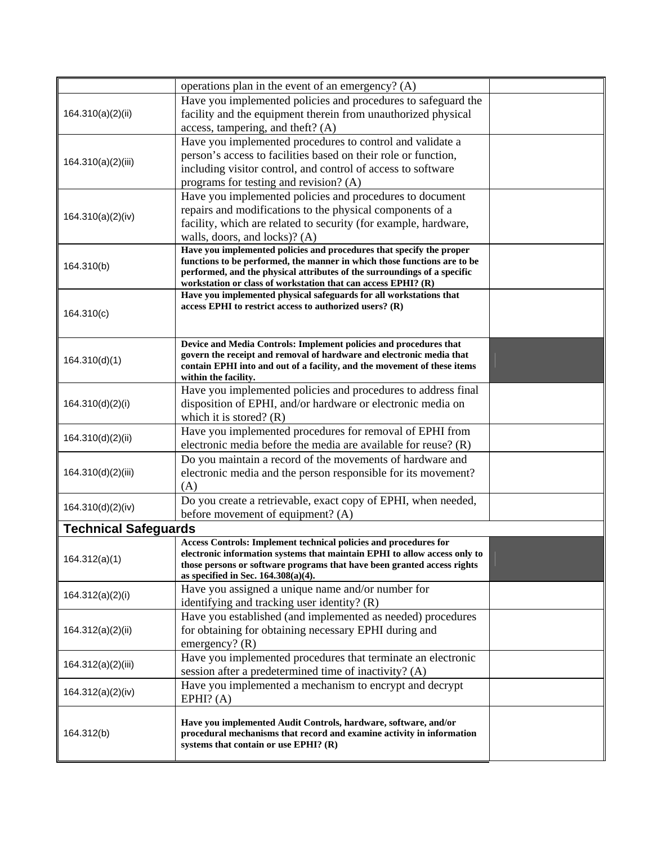|                             | operations plan in the event of an emergency? (A)                                                                                                    |  |
|-----------------------------|------------------------------------------------------------------------------------------------------------------------------------------------------|--|
| 164.310(a)(2)(ii)           | Have you implemented policies and procedures to safeguard the                                                                                        |  |
|                             | facility and the equipment therein from unauthorized physical                                                                                        |  |
|                             | access, tampering, and theft? (A)                                                                                                                    |  |
|                             | Have you implemented procedures to control and validate a                                                                                            |  |
| 164.310(a)(2)(iii)          | person's access to facilities based on their role or function,                                                                                       |  |
|                             | including visitor control, and control of access to software                                                                                         |  |
|                             | programs for testing and revision? (A)                                                                                                               |  |
|                             | Have you implemented policies and procedures to document                                                                                             |  |
| 164.310(a)(2)(iv)           | repairs and modifications to the physical components of a                                                                                            |  |
|                             | facility, which are related to security (for example, hardware,                                                                                      |  |
|                             | walls, doors, and locks)? (A)                                                                                                                        |  |
|                             | Have you implemented policies and procedures that specify the proper                                                                                 |  |
| 164.310(b)                  | functions to be performed, the manner in which those functions are to be<br>performed, and the physical attributes of the surroundings of a specific |  |
|                             | workstation or class of workstation that can access EPHI? (R)                                                                                        |  |
|                             | Have you implemented physical safeguards for all workstations that                                                                                   |  |
| 164.310(c)                  | access EPHI to restrict access to authorized users? $(R)$                                                                                            |  |
|                             |                                                                                                                                                      |  |
|                             |                                                                                                                                                      |  |
|                             | Device and Media Controls: Implement policies and procedures that<br>govern the receipt and removal of hardware and electronic media that            |  |
| 164.310(d)(1)               | contain EPHI into and out of a facility, and the movement of these items                                                                             |  |
|                             | within the facility.                                                                                                                                 |  |
|                             | Have you implemented policies and procedures to address final                                                                                        |  |
| 164.310(d)(2)(i)            | disposition of EPHI, and/or hardware or electronic media on                                                                                          |  |
|                             | which it is stored? $(R)$                                                                                                                            |  |
|                             | Have you implemented procedures for removal of EPHI from                                                                                             |  |
| 164.310(d)(2)(ii)           | electronic media before the media are available for reuse? $(R)$                                                                                     |  |
|                             | Do you maintain a record of the movements of hardware and                                                                                            |  |
| 164.310(d)(2)(iii)          | electronic media and the person responsible for its movement?                                                                                        |  |
|                             | (A)                                                                                                                                                  |  |
|                             | Do you create a retrievable, exact copy of EPHI, when needed,                                                                                        |  |
| 164.310(d)(2)(iv)           | before movement of equipment? (A)                                                                                                                    |  |
| <b>Technical Safeguards</b> |                                                                                                                                                      |  |
|                             | Access Controls: Implement technical policies and procedures for                                                                                     |  |
| 164.312(a)(1)               | electronic information systems that maintain EPHI to allow access only to                                                                            |  |
|                             | those persons or software programs that have been granted access rights                                                                              |  |
|                             | as specified in Sec. $164.308(a)(4)$ .                                                                                                               |  |
| 164.312(a)(2)(i)            | Have you assigned a unique name and/or number for                                                                                                    |  |
|                             | identifying and tracking user identity? (R)                                                                                                          |  |
|                             | Have you established (and implemented as needed) procedures                                                                                          |  |
| 164.312(a)(2)(ii)           | for obtaining for obtaining necessary EPHI during and                                                                                                |  |
|                             | emergency? $(R)$                                                                                                                                     |  |
| 164.312(a)(2)(iii)          | Have you implemented procedures that terminate an electronic                                                                                         |  |
|                             | session after a predetermined time of inactivity? (A)                                                                                                |  |
| 164.312(a)(2)(iv)           | Have you implemented a mechanism to encrypt and decrypt                                                                                              |  |
|                             | EPHI? (A)                                                                                                                                            |  |
|                             | Have you implemented Audit Controls, hardware, software, and/or                                                                                      |  |
| 164.312(b)                  | procedural mechanisms that record and examine activity in information                                                                                |  |
|                             | systems that contain or use EPHI? $(R)$                                                                                                              |  |
|                             |                                                                                                                                                      |  |